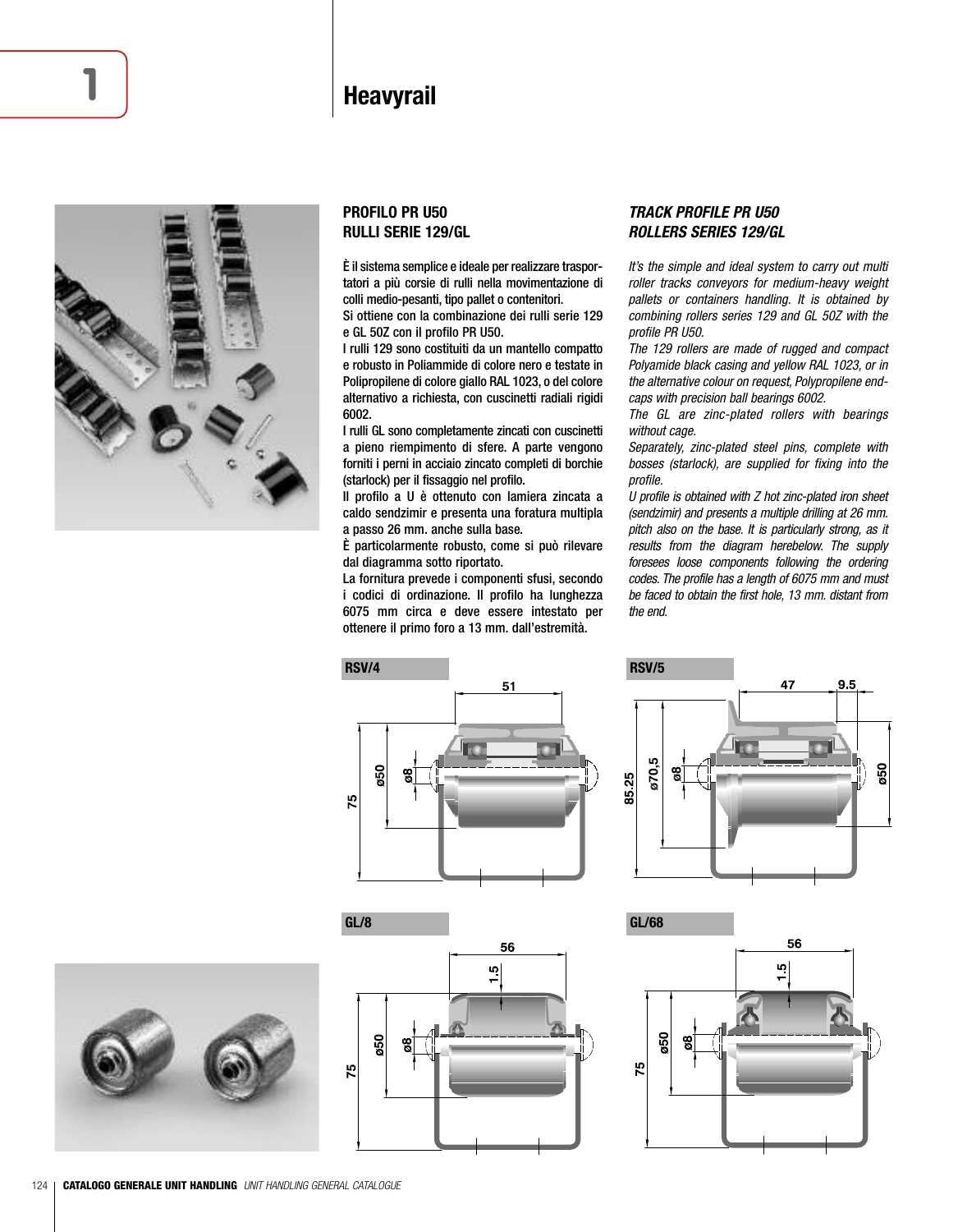## **Heavyrail**



## **PROFILO PR U50 RULLI SERIE 129/GL**

È il sistema semplice e ideale per realizzare trasportatori a più corsie di rulli nella movimentazione di colli medio-pesanti, tipo pallet o contenitori.

Si ottiene con la combinazione dei rulli serie 129 e GL 50Z con il profilo PR U50.

I rulli 129 sono costituiti da un mantello compatto e robusto in Poliammide di colore nero e testate in Polipropilene di colore giallo RAL 1023, o del colore alternativo a richiesta, con cuscinetti radiali rigidi 6002.

I rulli GL sono completamente zincati con cuscinetti a pieno riempimento di sfere. A parte vengono forniti i perni in acciaio zincato completi di borchie (starlock) per il fissaggio nel profilo.

Il profilo a U è ottenuto con lamiera zincata a caldo sendzimir e presenta una foratura multipla a passo 26 mm. anche sulla base.

È particolarmente robusto, come si può rilevare dal diagramma sotto riportato.

La fornitura prevede i componenti sfusi, secondo i codici di ordinazione. Il profilo ha lunghezza 6075 mm circa e deve essere intestato per ottenere il primo foro a 13 mm. dall'estremità.

## *TRACK PROFILE PR U50 ROLLERS SERIES 129/GL*

It's the simple and ideal system to carry out multi roller tracks conveyors for medium-heavy weight pallets or containers handling. It is obtained by combining rollers series 129 and GL 50Z with the profile PR U50.

The 129 rollers are made of rugged and compact Polyamide black casing and yellow RAL 1023, or in the alternative colour on request, Polypropilene endcaps with precision ball bearings 6002.

The GL are zinc-plated rollers with bearings without cage.

Separately, zinc-plated steel pins, complete with bosses (starlock), are supplied for fixing into the profile.

U profile is obtained with Z hot zinc-plated iron sheet (sendzimir) and presents a multiple drilling at 26 mm. pitch also on the base. It is particularly strong, as it results from the diagram herebelow. The supply foresees loose components following the ordering codes. The profile has a length of 6075 mm and must be faced to obtain the first hole, 13 mm. distant from the end.











56  $\frac{5}{1}$  $50<sup>2</sup>$ 75